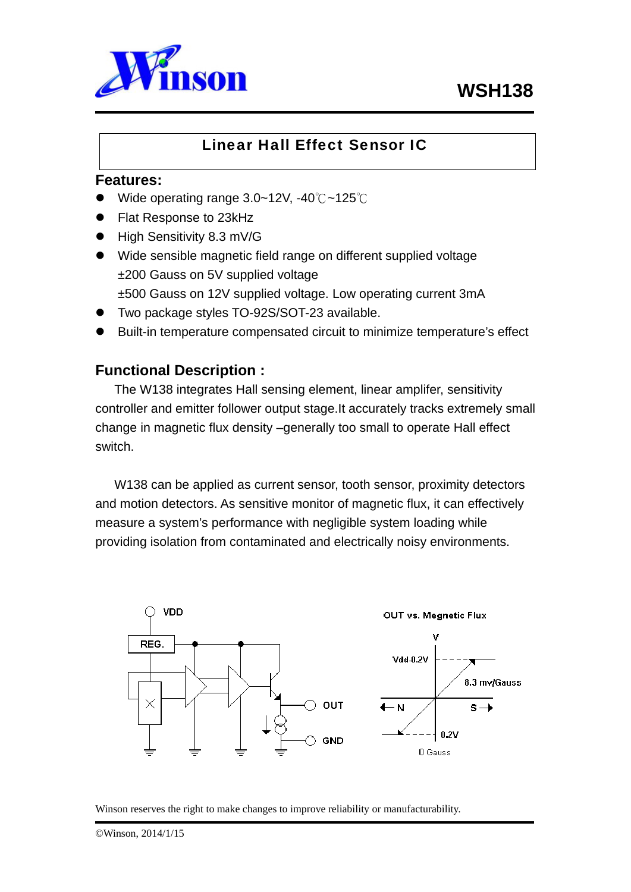



# Linear Hall Effect Sensor IC

# **Features:**

- Wide operating range 3.0~12V, -40℃~125℃
- Flat Response to 23kHz
- High Sensitivity 8.3 mV/G
- Wide sensible magnetic field range on different supplied voltage ±200 Gauss on 5V supplied voltage ±500 Gauss on 12V supplied voltage. Low operating current 3mA
- Two package styles TO-92S/SOT-23 available.
- Built-in temperature compensated circuit to minimize temperature's effect

# **Functional Description :**

The W138 integrates Hall sensing element, linear amplifer, sensitivity controller and emitter follower output stage.It accurately tracks extremely small change in magnetic flux density –generally too small to operate Hall effect switch.

W138 can be applied as current sensor, tooth sensor, proximity detectors and motion detectors. As sensitive monitor of magnetic flux, it can effectively measure a system's performance with negligible system loading while providing isolation from contaminated and electrically noisy environments.

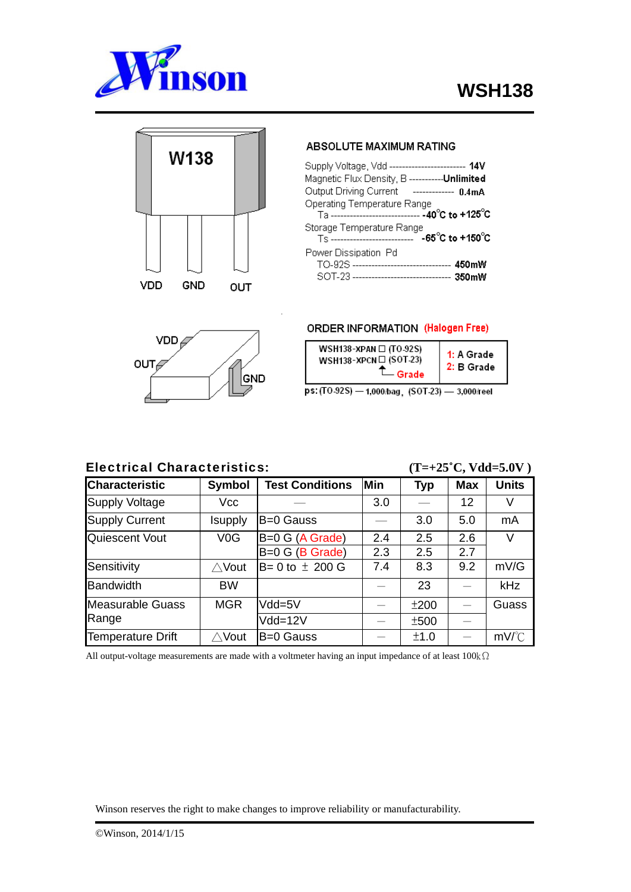



### **ABSOLUTE MAXIMUM RATING**

| Supply Voltage, Vdd ------------------------ 14V                                                                     |                     |
|----------------------------------------------------------------------------------------------------------------------|---------------------|
| Magnetic Flux Density, B -----------Unlimited                                                                        |                     |
| Output Driving Current                                                                                               | ------------- 0.4mA |
| Operating Temperature Range<br>Ta ----------------------------- -40°C to +125°C                                      |                     |
| Storage Temperature Range                                                                                            |                     |
| Power Dissipation Pd<br>TO-92S ------------------------------- 450mW<br>SOT-23 ------------------------------- 350mW |                     |

**VDD**  $OUT<sub>6</sub>$ GND

### **ORDER INFORMATION (Halogen Free)**



ps: (TO-92S) - 1,000/bag. (SOT-23) - 3,000/reel

## Electrical Characteristics: **(T=+25˚C, Vdd=5.0V )**

| <b>Characteristic</b>    | <b>Symbol</b>    | <b>Test Conditions</b> | <b>Min</b> | <b>Typ</b> | <b>Max</b>               | <b>Units</b> |
|--------------------------|------------------|------------------------|------------|------------|--------------------------|--------------|
|                          |                  |                        |            |            |                          |              |
| Supply Voltage           | Vcc              |                        | 3.0        |            | 12                       | V            |
| Supply Current           | Isupply          | B=0 Gauss              |            | 3.0        | 5.0                      | mA           |
| Quiescent Vout           | V <sub>0</sub> G | B=0 G (A Grade)        | 2.4        | 2.5        | 2.6                      | $\vee$       |
|                          |                  | B=0 G (B Grade)        | 2.3        | 2.5        | 2.7                      |              |
| Sensitivity              | $\triangle$ Vout | $B = 0$ to $\pm$ 200 G | 7.4        | 8.3        | 9.2                      | mV/G         |
| <b>Bandwidth</b>         | <b>BW</b>        |                        |            | 23         | $\overline{\phantom{0}}$ | <b>kHz</b>   |
| <b>Measurable Guass</b>  | <b>MGR</b>       | Vdd=5V                 |            | ±200       |                          | Guass        |
| Range                    |                  | Vdd=12V                |            | ±500       |                          |              |
| <b>Temperature Drift</b> | $\wedge$ Vout    | B=0 Gauss              |            | ±1.0       |                          | $mV$ /°C     |

All output-voltage measurements are made with a voltmeter having an input impedance of at least 100kΩ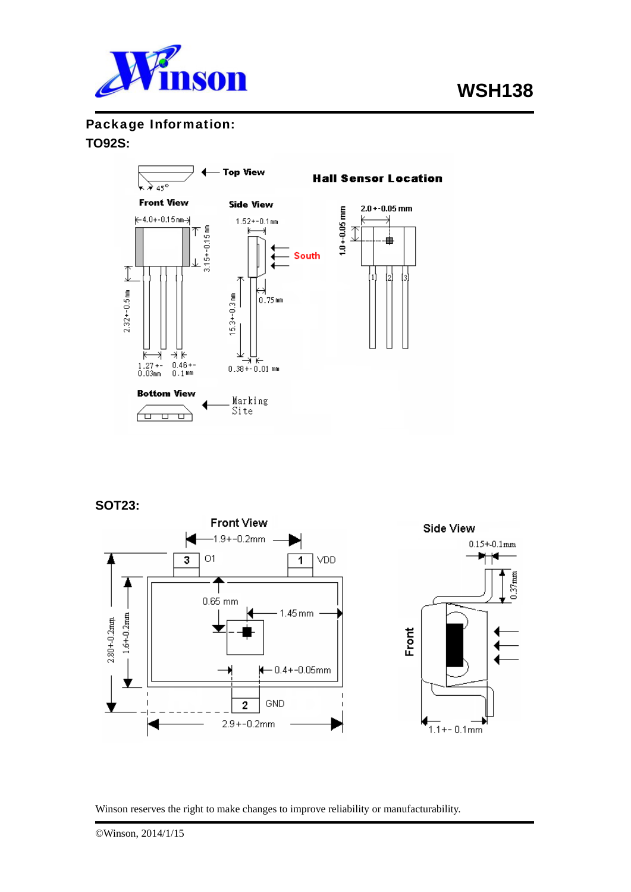

Package Information:

# **TO92S:**



# **SOT23:**

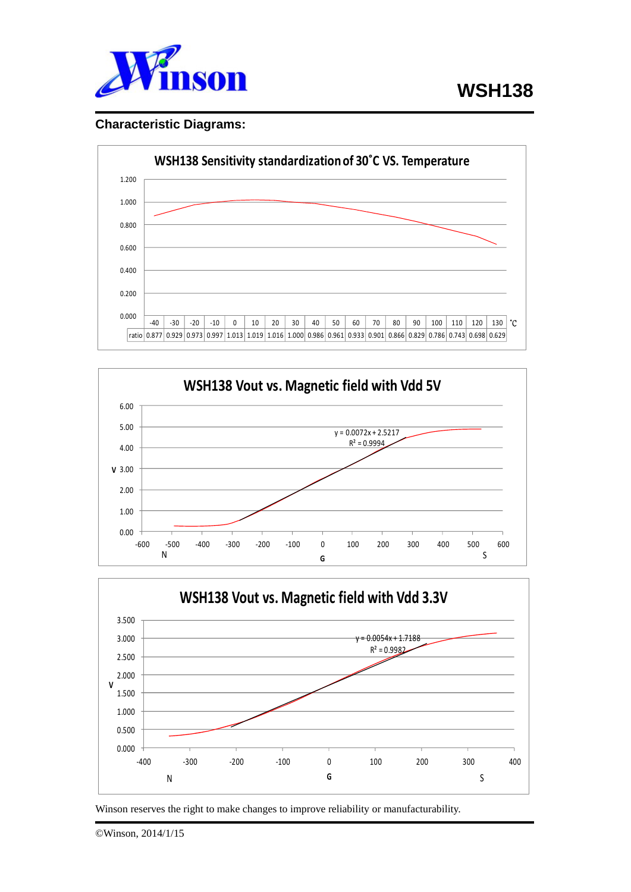

# **Characteristic Diagrams:**